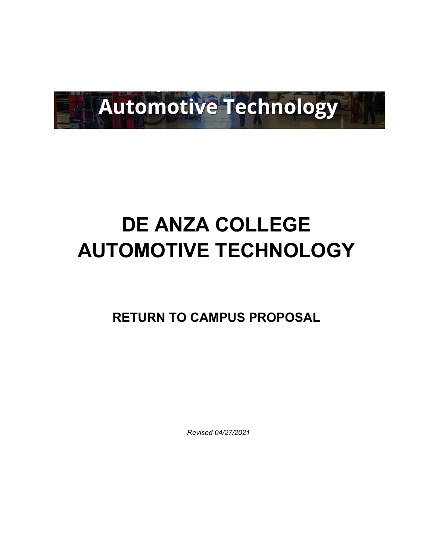

# **DE ANZA COLLEGE AUTOMOTIVE TECHNOLOGY**

**RETURN TO CAMPUS PROPOSAL**

 *Revised 04/27/2021*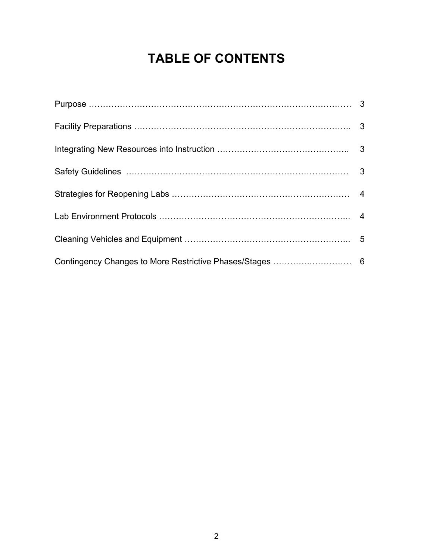# **TABLE OF CONTENTS**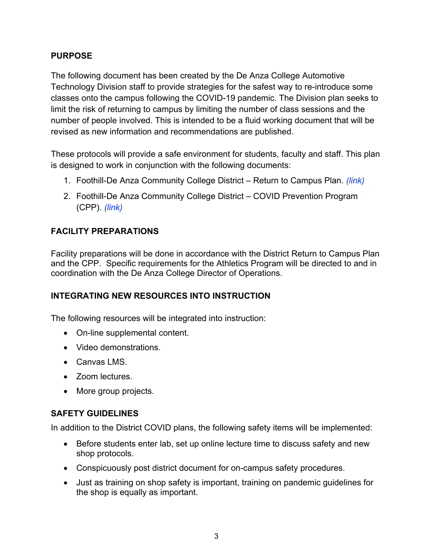#### **PURPOSE**

The following document has been created by the De Anza College Automotive Technology Division staff to provide strategies for the safest way to re-introduce some classes onto the campus following the COVID-19 pandemic. The Division plan seeks to limit the risk of returning to campus by limiting the number of class sessions and the number of people involved. This is intended to be a fluid working document that will be revised as new information and recommendations are published.

These protocols will provide a safe environment for students, faculty and staff. This plan is designed to work in conjunction with the following documents:

- 1. Foothill-De Anza Community College District Return to Campus Plan. *(link)*
- 2. Foothill-De Anza Community College District COVID Prevention Program (CPP). *(link)*

### **FACILITY PREPARATIONS**

Facility preparations will be done in accordance with the District Return to Campus Plan and the CPP. Specific requirements for the Athletics Program will be directed to and in coordination with the De Anza College Director of Operations.

#### **INTEGRATING NEW RESOURCES INTO INSTRUCTION**

The following resources will be integrated into instruction:

- On-line supplemental content.
- Video demonstrations.
- Canvas LMS.
- Zoom lectures.
- More group projects.

#### **SAFETY GUIDELINES**

In addition to the District COVID plans, the following safety items will be implemented:

- Before students enter lab, set up online lecture time to discuss safety and new shop protocols.
- Conspicuously post district document for on-campus safety procedures.
- Just as training on shop safety is important, training on pandemic guidelines for the shop is equally as important.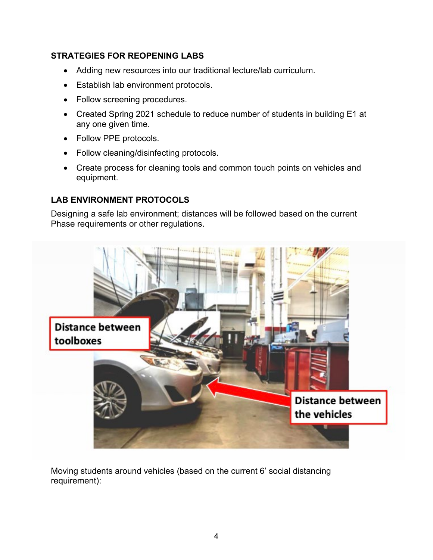#### **STRATEGIES FOR REOPENING LABS**

- Adding new resources into our traditional lecture/lab curriculum.
- Establish lab environment protocols.
- Follow screening procedures.
- Created Spring 2021 schedule to reduce number of students in building E1 at any one given time.
- Follow PPE protocols.
- Follow cleaning/disinfecting protocols.
- Create process for cleaning tools and common touch points on vehicles and equipment.

# **LAB ENVIRONMENT PROTOCOLS**

Designing a safe lab environment; distances will be followed based on the current Phase requirements or other regulations.



Moving students around vehicles (based on the current 6' social distancing requirement):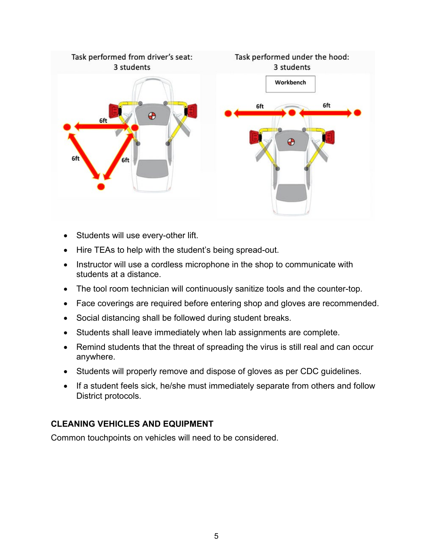

- Students will use every-other lift.
- Hire TEAs to help with the student's being spread-out.
- Instructor will use a cordless microphone in the shop to communicate with students at a distance.
- The tool room technician will continuously sanitize tools and the counter-top.
- Face coverings are required before entering shop and gloves are recommended.
- Social distancing shall be followed during student breaks.
- Students shall leave immediately when lab assignments are complete.
- Remind students that the threat of spreading the virus is still real and can occur anywhere.
- Students will properly remove and dispose of gloves as per CDC guidelines.
- If a student feels sick, he/she must immediately separate from others and follow District protocols.

# **CLEANING VEHICLES AND EQUIPMENT**

Common touchpoints on vehicles will need to be considered.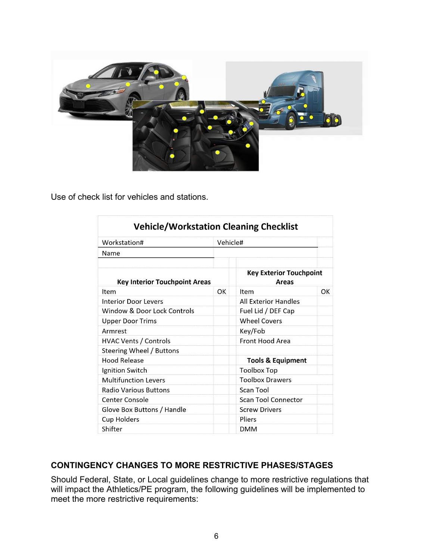

Use of check list for vehicles and stations.

| <b>Vehicle/Workstation Cleaning Checklist</b> |    |                                                |     |  |
|-----------------------------------------------|----|------------------------------------------------|-----|--|
| Workstation#                                  |    | Vehicle#                                       |     |  |
| Name                                          |    |                                                |     |  |
| <b>Key Interior Touchpoint Areas</b>          |    | <b>Key Exterior Touchpoint</b><br><b>Areas</b> |     |  |
| Item                                          | OK | Item                                           | OK. |  |
| Interior Door Levers                          |    | All Exterior Handles                           |     |  |
| Window & Door Lock Controls                   |    | Fuel Lid / DEF Cap                             |     |  |
| <b>Upper Door Trims</b>                       |    | <b>Wheel Covers</b>                            |     |  |
| Armrest                                       |    | Key/Fob                                        |     |  |
| <b>HVAC Vents / Controls</b>                  |    | Front Hood Area                                |     |  |
| Steering Wheel / Buttons                      |    |                                                |     |  |
| Hood Release                                  |    | <b>Tools &amp; Equipment</b>                   |     |  |
| Ignition Switch                               |    | Toolbox Top                                    |     |  |
| <b>Multifunction Levers</b>                   |    | <b>Toolbox Drawers</b>                         |     |  |
| Radio Various Buttons                         |    | Scan Tool                                      |     |  |
| Center Console                                |    | <b>Scan Tool Connector</b>                     |     |  |
| Glove Box Buttons / Handle                    |    | <b>Screw Drivers</b>                           |     |  |
| <b>Cup Holders</b>                            |    | Pliers                                         |     |  |
| Shifter                                       |    | DMM                                            |     |  |

#### **CONTINGENCY CHANGES TO MORE RESTRICTIVE PHASES/STAGES**

Should Federal, State, or Local guidelines change to more restrictive regulations that will impact the Athletics/PE program, the following guidelines will be implemented to meet the more restrictive requirements: